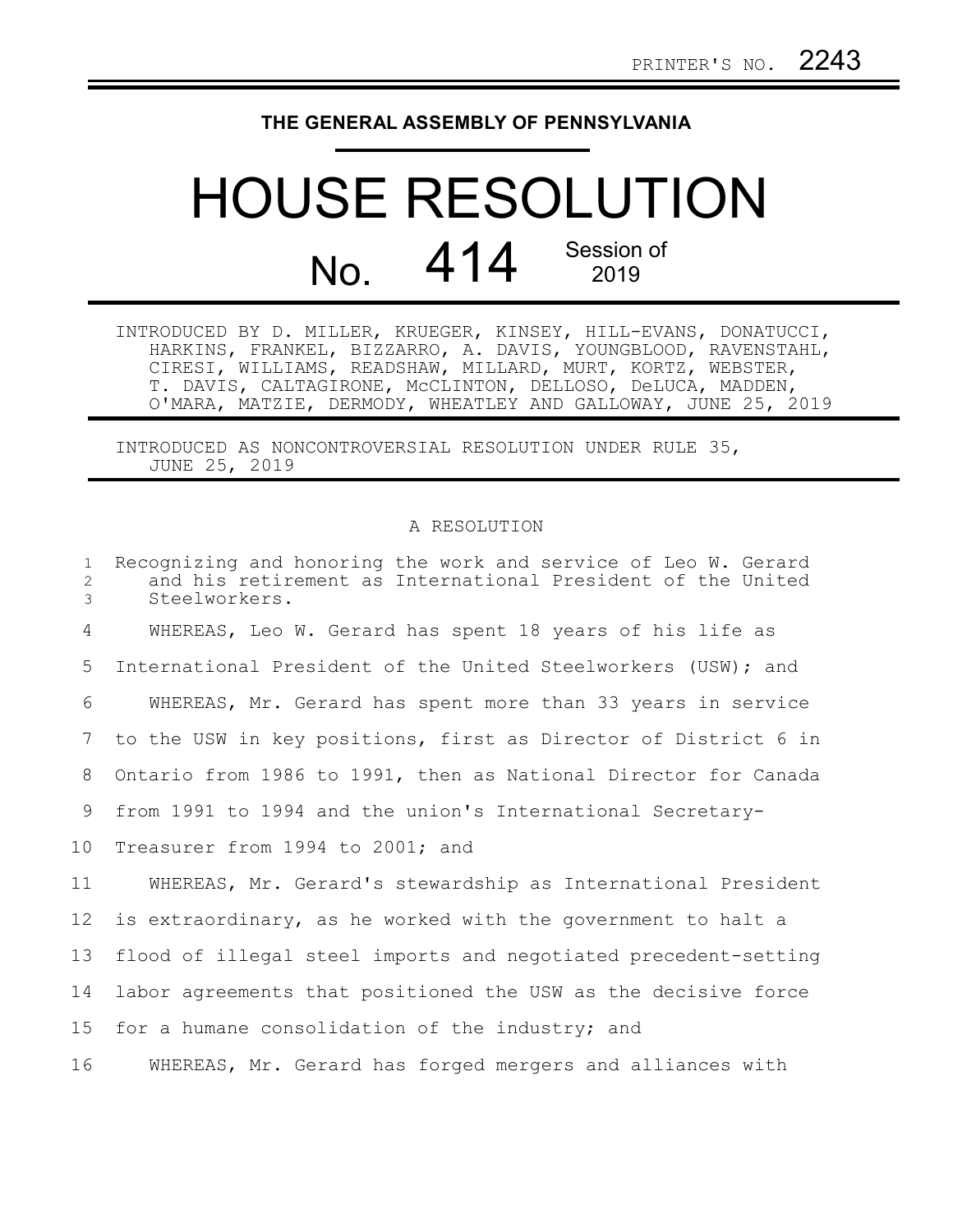## **THE GENERAL ASSEMBLY OF PENNSYLVANIA**

## HOUSE RESOLUTION No. 414 Session of

INTRODUCED BY D. MILLER, KRUEGER, KINSEY, HILL-EVANS, DONATUCCI, HARKINS, FRANKEL, BIZZARRO, A. DAVIS, YOUNGBLOOD, RAVENSTAHL, CIRESI, WILLIAMS, READSHAW, MILLARD, MURT, KORTZ, WEBSTER, T. DAVIS, CALTAGIRONE, McCLINTON, DELLOSO, DeLUCA, MADDEN, O'MARA, MATZIE, DERMODY, WHEATLEY AND GALLOWAY, JUNE 25, 2019

INTRODUCED AS NONCONTROVERSIAL RESOLUTION UNDER RULE 35, JUNE 25, 2019

## A RESOLUTION

| $\mathbf{1}$<br>$\mathbf{2}^{\prime}$<br>3 | Recognizing and honoring the work and service of Leo W. Gerard<br>and his retirement as International President of the United<br>Steelworkers. |
|--------------------------------------------|------------------------------------------------------------------------------------------------------------------------------------------------|
| 4                                          | WHEREAS, Leo W. Gerard has spent 18 years of his life as                                                                                       |
| 5                                          | International President of the United Steelworkers (USW); and                                                                                  |
| 6                                          | WHEREAS, Mr. Gerard has spent more than 33 years in service                                                                                    |
| 7                                          | to the USW in key positions, first as Director of District 6 in                                                                                |
| 8                                          | Ontario from 1986 to 1991, then as National Director for Canada                                                                                |
| 9                                          | from 1991 to 1994 and the union's International Secretary-                                                                                     |
| 10 <sub>o</sub>                            | Treasurer from 1994 to 2001; and                                                                                                               |
| 11                                         | WHEREAS, Mr. Gerard's stewardship as International President                                                                                   |
| 12                                         | is extraordinary, as he worked with the government to halt a                                                                                   |
| 13                                         | flood of illegal steel imports and negotiated precedent-setting                                                                                |
| 14                                         | labor agreements that positioned the USW as the decisive force                                                                                 |
| 15 <sub>1</sub>                            | for a humane consolidation of the industry; and                                                                                                |
| 16                                         | WHEREAS, Mr. Gerard has forged mergers and alliances with                                                                                      |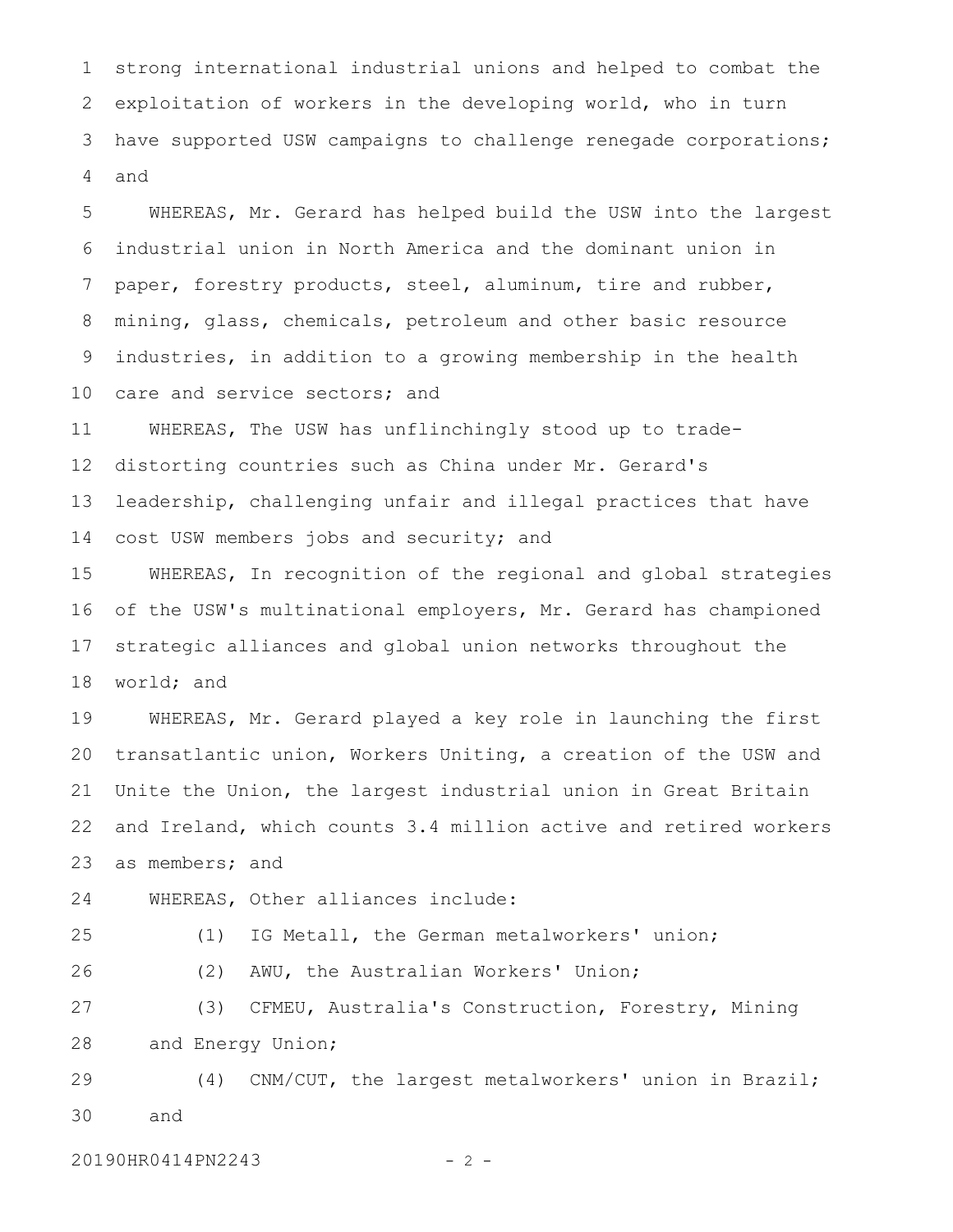strong international industrial unions and helped to combat the exploitation of workers in the developing world, who in turn have supported USW campaigns to challenge renegade corporations; and 1 2 3 4

WHEREAS, Mr. Gerard has helped build the USW into the largest industrial union in North America and the dominant union in paper, forestry products, steel, aluminum, tire and rubber, mining, glass, chemicals, petroleum and other basic resource industries, in addition to a growing membership in the health care and service sectors; and 5 6 7 8 9 10

WHEREAS, The USW has unflinchingly stood up to tradedistorting countries such as China under Mr. Gerard's leadership, challenging unfair and illegal practices that have cost USW members jobs and security; and 11 12 13 14

WHEREAS, In recognition of the regional and global strategies of the USW's multinational employers, Mr. Gerard has championed strategic alliances and global union networks throughout the world; and 15 16 17 18

WHEREAS, Mr. Gerard played a key role in launching the first transatlantic union, Workers Uniting, a creation of the USW and Unite the Union, the largest industrial union in Great Britain and Ireland, which counts 3.4 million active and retired workers as members; and 19 20 21 22 23

WHEREAS, Other alliances include: 24

25

(1) IG Metall, the German metalworkers' union;

(2) AWU, the Australian Workers' Union; 26

(3) CFMEU, Australia's Construction, Forestry, Mining and Energy Union; 27 28

(4) CNM/CUT, the largest metalworkers' union in Brazil; and 29 30

20190HR0414PN2243 - 2 -